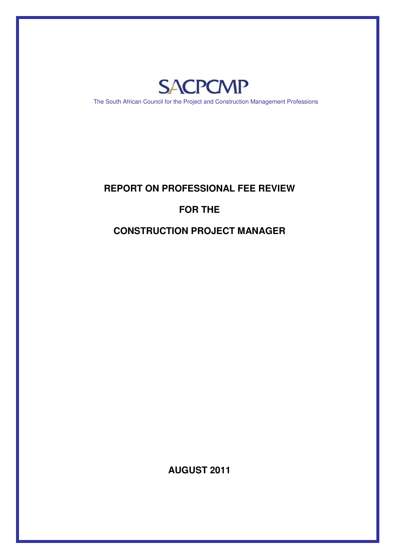

The South African Council for the Project and Construction Management Professions

## **REPORT ON PROFESSIONAL FEE REVIEW**

# **FOR THE**

# **CONSTRUCTION PROJECT MANAGER**

**AUGUST 2011**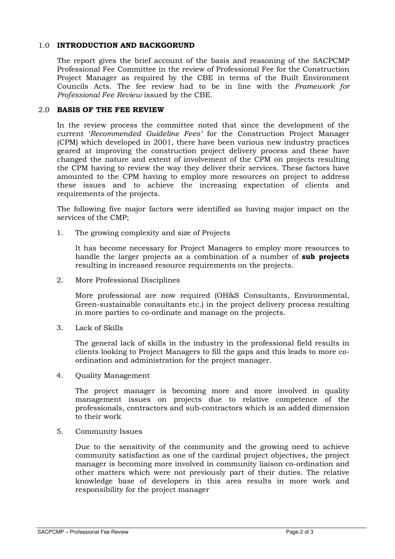### 1.0 INTRODUCTION AND BACKGORUND

The report gives the brief account of the basis and reasoning of the SACPCMP Professional Fee Committee in the review of Professional Fee for the Construction Project Manager as required by the CBE in terms of the Built Environment Councils Acts. The fee review had to be in line with the Framework for Professional Fee Review issued by the CBE.

#### 2.0 BASIS OF THE FEE REVIEW

In the review process the committee noted that since the development of the current 'Recommended Guideline Fees' for the Construction Project Manager (CPM) which developed in 2001, there have been various new industry practices geared at improving the construction project delivery process and these have changed the nature and extent of involvement of the CPM on projects resulting the CPM having to review the way they deliver their services. These factors have amounted to the CPM having to employ more resources on project to address these issues and to achieve the increasing expectation of clients and requirements of the projects.

The following five major factors were identified as having major impact on the services of the CMP;

1. The growing complexity and size of Projects

It has become necessary for Project Managers to employ more resources to handle the larger projects as a combination of a number of sub projects resulting in increased resource requirements on the projects.

2. More Professional Disciplines

More professional are now required (OH&S Consultants, Environmental, Green-sustainable consultants etc.) in the project delivery process resulting in more parties to co-ordinate and manage on the projects.

3. Lack of Skills

The general lack of skills in the industry in the professional field results in clients looking to Project Managers to fill the gaps and this leads to more coordination and administration for the project manager.

4. Quality Management

The project manager is becoming more and more involved in quality management issues on projects due to relative competence of the professionals, contractors and sub-contractors which is an added dimension to their work

5. Community Issues

Due to the sensitivity of the community and the growing need to achieve community satisfaction as one of the cardinal project objectives, the project manager is becoming more involved in community liaison co-ordination and other matters which were not previously part of their duties. The relative knowledge base of developers in this area results in more work and responsibility for the project manager